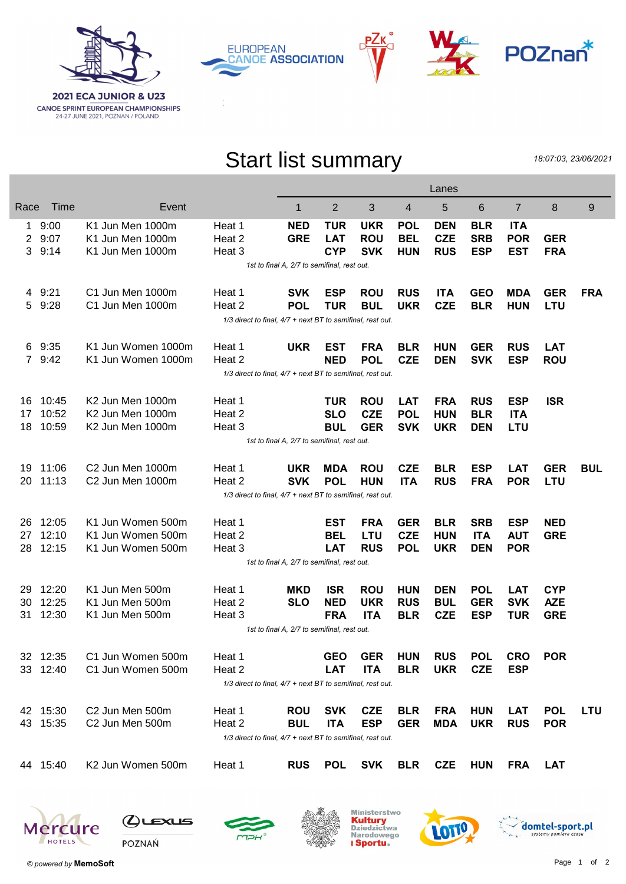







## Start list summary

РΖк

18:07:03, 23/06/2021

|                |                                                            |                              |                                                            |            | Lanes          |            |            |            |            |                |            |            |  |
|----------------|------------------------------------------------------------|------------------------------|------------------------------------------------------------|------------|----------------|------------|------------|------------|------------|----------------|------------|------------|--|
| Race           | Time                                                       | Event                        |                                                            | 1          | $\overline{2}$ | 3          | 4          | 5          | 6          | $\overline{7}$ | 8          | 9          |  |
| 1              | 9:00                                                       | K1 Jun Men 1000m             | Heat 1                                                     | <b>NED</b> | <b>TUR</b>     | <b>UKR</b> | <b>POL</b> | <b>DEN</b> | <b>BLR</b> | <b>ITA</b>     |            |            |  |
| $\overline{2}$ | 9:07                                                       | K1 Jun Men 1000m             | Heat 2                                                     | <b>GRE</b> | <b>LAT</b>     | <b>ROU</b> | <b>BEL</b> | <b>CZE</b> | <b>SRB</b> | <b>POR</b>     | <b>GER</b> |            |  |
| 3              | 9:14                                                       | K1 Jun Men 1000m             | Heat 3                                                     |            | <b>CYP</b>     | <b>SVK</b> | <b>HUN</b> | <b>RUS</b> | <b>ESP</b> | <b>EST</b>     | <b>FRA</b> |            |  |
|                | 1st to final A, 2/7 to semifinal, rest out.                |                              |                                                            |            |                |            |            |            |            |                |            |            |  |
|                | 4 9:21                                                     | C1 Jun Men 1000m             | Heat 1                                                     | <b>SVK</b> | <b>ESP</b>     | <b>ROU</b> | <b>RUS</b> | <b>ITA</b> | <b>GEO</b> | <b>MDA</b>     | <b>GER</b> | <b>FRA</b> |  |
| 5              | 9:28                                                       | C1 Jun Men 1000m             | Heat 2                                                     | <b>POL</b> | <b>TUR</b>     | <b>BUL</b> | <b>UKR</b> | <b>CZE</b> | <b>BLR</b> | <b>HUN</b>     | <b>LTU</b> |            |  |
|                | 1/3 direct to final, 4/7 + next BT to semifinal, rest out. |                              |                                                            |            |                |            |            |            |            |                |            |            |  |
|                | 6 9:35                                                     | K1 Jun Women 1000m           | Heat 1                                                     | <b>UKR</b> | <b>EST</b>     | <b>FRA</b> | <b>BLR</b> | <b>HUN</b> | <b>GER</b> | <b>RUS</b>     | <b>LAT</b> |            |  |
|                | 7 9:42                                                     | K1 Jun Women 1000m           | Heat 2                                                     |            | <b>NED</b>     | <b>POL</b> | <b>CZE</b> | <b>DEN</b> | <b>SVK</b> | <b>ESP</b>     | <b>ROU</b> |            |  |
|                | 1/3 direct to final, 4/7 + next BT to semifinal, rest out. |                              |                                                            |            |                |            |            |            |            |                |            |            |  |
| 16             | 10:45                                                      | K <sub>2</sub> Jun Men 1000m | Heat 1                                                     |            | <b>TUR</b>     | <b>ROU</b> | <b>LAT</b> | <b>FRA</b> | <b>RUS</b> | <b>ESP</b>     | <b>ISR</b> |            |  |
| 17             | 10:52                                                      | K2 Jun Men 1000m             | Heat 2                                                     |            | <b>SLO</b>     | <b>CZE</b> | <b>POL</b> | <b>HUN</b> | <b>BLR</b> | <b>ITA</b>     |            |            |  |
| 18             | 10:59                                                      | K2 Jun Men 1000m             | Heat 3                                                     |            | <b>BUL</b>     | <b>GER</b> | <b>SVK</b> | <b>UKR</b> | <b>DEN</b> | <b>LTU</b>     |            |            |  |
|                | 1st to final A, 2/7 to semifinal, rest out.                |                              |                                                            |            |                |            |            |            |            |                |            |            |  |
| 19             | 11:06                                                      | C <sub>2</sub> Jun Men 1000m | Heat 1                                                     | <b>UKR</b> | <b>MDA</b>     | <b>ROU</b> | <b>CZE</b> | <b>BLR</b> | <b>ESP</b> | <b>LAT</b>     | <b>GER</b> | <b>BUL</b> |  |
| 20             | 11:13                                                      | C <sub>2</sub> Jun Men 1000m | Heat 2                                                     | <b>SVK</b> | <b>POL</b>     | <b>HUN</b> | <b>ITA</b> | <b>RUS</b> | <b>FRA</b> | <b>POR</b>     | <b>LTU</b> |            |  |
|                | 1/3 direct to final, 4/7 + next BT to semifinal, rest out. |                              |                                                            |            |                |            |            |            |            |                |            |            |  |
| 26             | 12:05                                                      | K1 Jun Women 500m            | Heat 1                                                     |            | <b>EST</b>     | <b>FRA</b> | <b>GER</b> | <b>BLR</b> | <b>SRB</b> | <b>ESP</b>     | <b>NED</b> |            |  |
| 27             | 12:10                                                      | K1 Jun Women 500m            | Heat 2                                                     |            | <b>BEL</b>     | <b>LTU</b> | <b>CZE</b> | <b>HUN</b> | <b>ITA</b> | <b>AUT</b>     | <b>GRE</b> |            |  |
| 28             | 12:15                                                      | K1 Jun Women 500m            | Heat 3                                                     |            | <b>LAT</b>     | <b>RUS</b> | <b>POL</b> | <b>UKR</b> | <b>DEN</b> | <b>POR</b>     |            |            |  |
|                | 1st to final A, 2/7 to semifinal, rest out.                |                              |                                                            |            |                |            |            |            |            |                |            |            |  |
| 29             | 12:20                                                      | K1 Jun Men 500m              | Heat 1                                                     | <b>MKD</b> | <b>ISR</b>     | <b>ROU</b> | <b>HUN</b> | <b>DEN</b> | <b>POL</b> | <b>LAT</b>     | <b>CYP</b> |            |  |
| 30             | 12:25                                                      | K1 Jun Men 500m              | Heat 2                                                     | <b>SLO</b> | <b>NED</b>     | <b>UKR</b> | <b>RUS</b> | <b>BUL</b> | <b>GER</b> | <b>SVK</b>     | <b>AZE</b> |            |  |
| 31             | 12:30                                                      | K1 Jun Men 500m              | Heat 3                                                     |            | <b>FRA</b>     | <b>ITA</b> | <b>BLR</b> | <b>CZE</b> | <b>ESP</b> | <b>TUR</b>     | <b>GRE</b> |            |  |
|                | 1st to final A, 2/7 to semifinal, rest out.                |                              |                                                            |            |                |            |            |            |            |                |            |            |  |
|                | 32 12:35                                                   | C1 Jun Women 500m            | Heat 1                                                     |            | <b>GEO</b>     | <b>GER</b> | <b>HUN</b> | <b>RUS</b> | <b>POL</b> | <b>CRO</b>     | <b>POR</b> |            |  |
|                | 33 12:40                                                   | C1 Jun Women 500m            | Heat 2                                                     |            | <b>LAT</b>     | <b>ITA</b> | <b>BLR</b> | <b>UKR</b> | <b>CZE</b> | <b>ESP</b>     |            |            |  |
|                | 1/3 direct to final, 4/7 + next BT to semifinal, rest out. |                              |                                                            |            |                |            |            |            |            |                |            |            |  |
|                | 42 15:30                                                   | C2 Jun Men 500m              | Heat 1                                                     | <b>ROU</b> | <b>SVK</b>     | <b>CZE</b> | <b>BLR</b> | <b>FRA</b> | <b>HUN</b> | <b>LAT</b>     | <b>POL</b> | <b>LTU</b> |  |
|                | 43 15:35                                                   | C2 Jun Men 500m              | Heat 2                                                     | <b>BUL</b> | <b>ITA</b>     | <b>ESP</b> | <b>GER</b> | <b>MDA</b> | <b>UKR</b> | <b>RUS</b>     | <b>POR</b> |            |  |
|                |                                                            |                              | 1/3 direct to final, 4/7 + next BT to semifinal, rest out. |            |                |            |            |            |            |                |            |            |  |
|                | 44 15:40                                                   | K2 Jun Women 500m            | Heat 1                                                     | <b>RUS</b> | <b>POL</b>     | <b>SVK</b> | <b>BLR</b> | <b>CZE</b> | <b>HUN</b> | <b>FRA</b>     | <b>LAT</b> |            |  |
|                |                                                            |                              |                                                            |            |                |            |            |            |            |                |            |            |  |